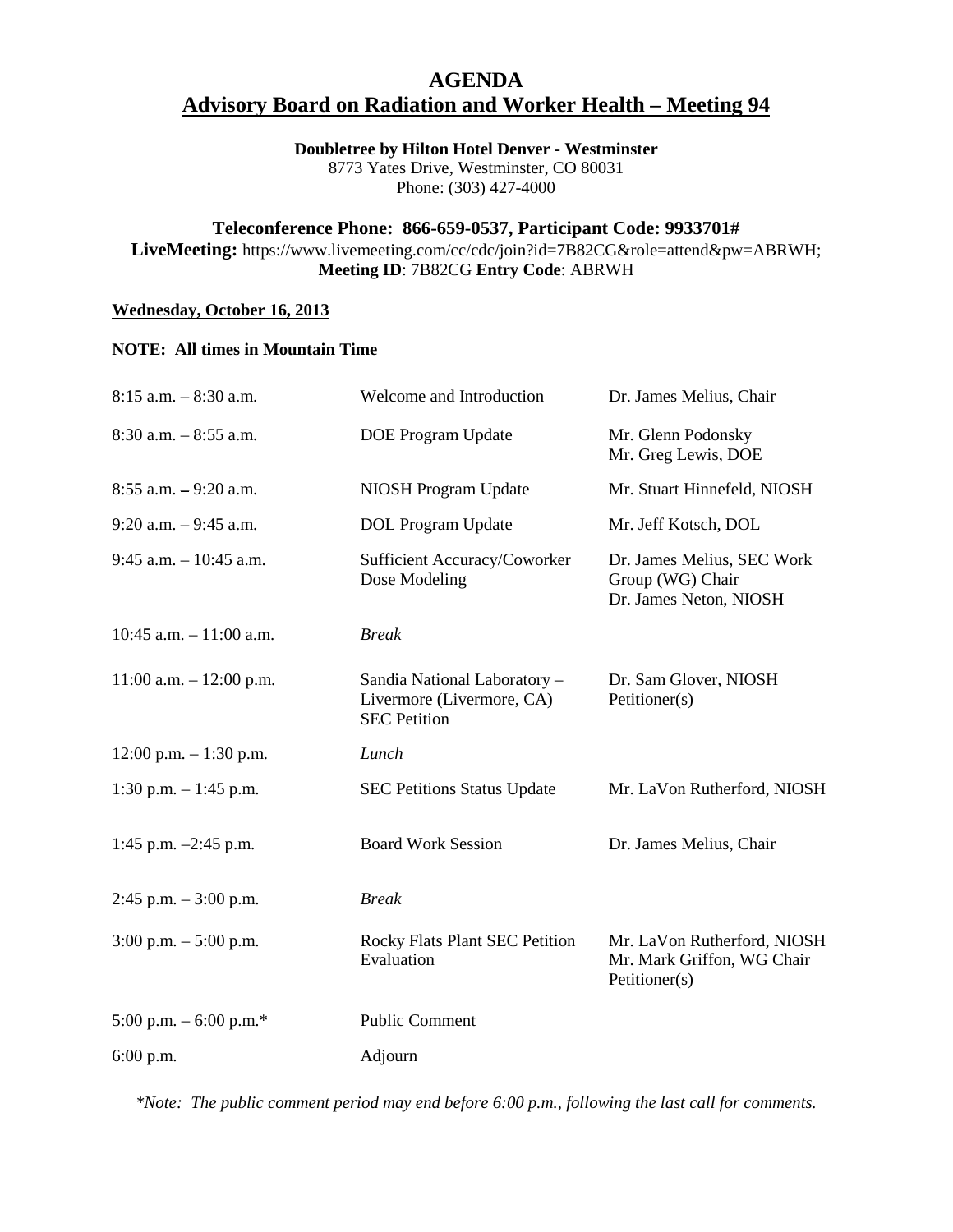# **AGENDA Advisory Board on Radiation and Worker Health – Meeting 94**

## **Doubletree by Hilton Hotel Denver - Westminster**

8773 Yates Drive, Westminster, CO 80031 Phone: (303) 427-4000

## **Teleconference Phone: 866-659-0537, Participant Code: 9933701#**

**LiveMeeting:** https://www.livemeeting.com/cc/cdc/join?id=7B82CG&role=attend&pw=ABRWH; **Meeting ID**: 7B82CG **Entry Code**: ABRWH

## **Wednesday, October 16, 2013**

#### **NOTE: All times in Mountain Time**

| $8:15$ a.m. $-8:30$ a.m.   | Welcome and Introduction                                                         | Dr. James Melius, Chair                                                    |
|----------------------------|----------------------------------------------------------------------------------|----------------------------------------------------------------------------|
| $8:30$ a.m. $-8:55$ a.m.   | <b>DOE Program Update</b>                                                        | Mr. Glenn Podonsky<br>Mr. Greg Lewis, DOE                                  |
| $8:55$ a.m. $-9:20$ a.m.   | NIOSH Program Update                                                             | Mr. Stuart Hinnefeld, NIOSH                                                |
| $9:20$ a.m. $-9:45$ a.m.   | <b>DOL</b> Program Update                                                        | Mr. Jeff Kotsch, DOL                                                       |
| $9:45$ a.m. $-10:45$ a.m.  | Sufficient Accuracy/Coworker<br>Dose Modeling                                    | Dr. James Melius, SEC Work<br>Group (WG) Chair<br>Dr. James Neton, NIOSH   |
| $10:45$ a.m. $-11:00$ a.m. | <b>Break</b>                                                                     |                                                                            |
| $11:00$ a.m. $-12:00$ p.m. | Sandia National Laboratory -<br>Livermore (Livermore, CA)<br><b>SEC Petition</b> | Dr. Sam Glover, NIOSH<br>Petitioner(s)                                     |
| $12:00$ p.m. $-1:30$ p.m.  | Lunch                                                                            |                                                                            |
| 1:30 p.m. $-1:45$ p.m.     | <b>SEC Petitions Status Update</b>                                               | Mr. LaVon Rutherford, NIOSH                                                |
| 1:45 p.m. -2:45 p.m.       | <b>Board Work Session</b>                                                        | Dr. James Melius, Chair                                                    |
| $2:45$ p.m. $-3:00$ p.m.   | <b>Break</b>                                                                     |                                                                            |
| $3:00$ p.m. $-5:00$ p.m.   | <b>Rocky Flats Plant SEC Petition</b><br>Evaluation                              | Mr. LaVon Rutherford, NIOSH<br>Mr. Mark Griffon, WG Chair<br>Petitioner(s) |
| 5:00 p.m. $-$ 6:00 p.m.*   | <b>Public Comment</b>                                                            |                                                                            |
| 6:00 p.m.                  | Adjourn                                                                          |                                                                            |
|                            |                                                                                  |                                                                            |

*\*Note: The public comment period may end before 6:00 p.m., following the last call for comments.*